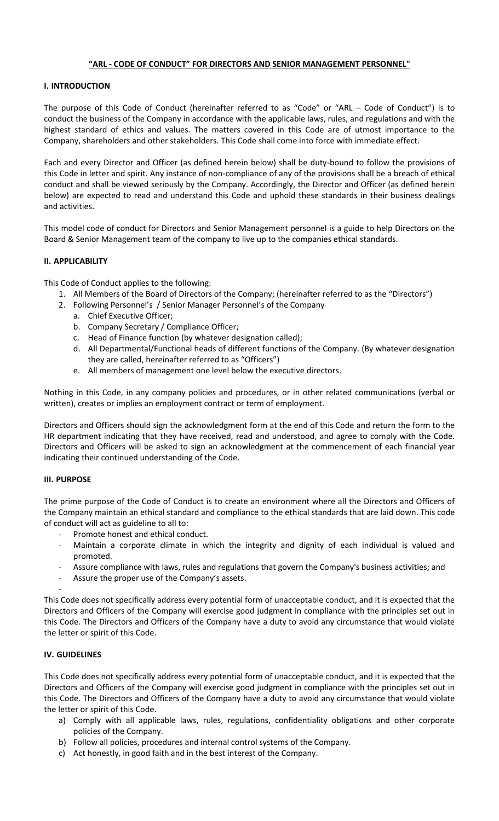# **"ARL - CODE OF CONDUCT" FOR DIRECTORS AND SENIOR MANAGEMENT PERSONNEL"**

# **I. INTRODUCTION**

The purpose of this Code of Conduct (hereinafter referred to as "Code" or "ARL – Code of Conduct") is to conduct the business of the Company in accordance with the applicable laws, rules, and regulations and with the highest standard of ethics and values. The matters covered in this Code are of utmost importance to the Company, shareholders and other stakeholders. This Code shall come into force with immediate effect.

Each and every Director and Officer (as defined herein below) shall be duty-bound to follow the provisions of this Code in letter and spirit. Any instance of non-compliance of any of the provisions shall be a breach of ethical conduct and shall be viewed seriously by the Company. Accordingly, the Director and Officer (as defined herein below) are expected to read and understand this Code and uphold these standards in their business dealings and activities.

This model code of conduct for Directors and Senior Management personnel is a guide to help Directors on the Board & Senior Management team of the company to live up to the companies ethical standards.

# **II. APPLICABILITY**

This Code of Conduct applies to the following:

- 1. All Members of the Board of Directors of the Company; (hereinafter referred to as the "Directors")
- 2. Following Personnel's / Senior Manager Personnel's of the Company
	- a. Chief Executive Officer;
	- b. Company Secretary / Compliance Officer;
	- c. Head of Finance function (by whatever designation called);
	- d. All Departmental/Functional heads of different functions of the Company. (By whatever designation they are called, hereinafter referred to as "Officers")
	- e. All members of management one level below the executive directors.

Nothing in this Code, in any company policies and procedures, or in other related communications (verbal or written), creates or implies an employment contract or term of employment.

Directors and Officers should sign the acknowledgment form at the end of this Code and return the form to the HR department indicating that they have received, read and understood, and agree to comply with the Code. Directors and Officers will be asked to sign an acknowledgment at the commencement of each financial year indicating their continued understanding of the Code.

# **III. PURPOSE**

The prime purpose of the Code of Conduct is to create an environment where all the Directors and Officers of the Company maintain an ethical standard and compliance to the ethical standards that are laid down. This code of conduct will act as guideline to all to:

- Promote honest and ethical conduct.
- Maintain a corporate climate in which the integrity and dignity of each individual is valued and promoted.
- Assure compliance with laws, rules and regulations that govern the Company's business activities; and
- Assure the proper use of the Company's assets.

This Code does not specifically address every potential form of unacceptable conduct, and it is expected that the Directors and Officers of the Company will exercise good judgment in compliance with the principles set out in this Code. The Directors and Officers of the Company have a duty to avoid any circumstance that would violate the letter or spirit of this Code.

# **IV. GUIDELINES**

-

This Code does not specifically address every potential form of unacceptable conduct, and it is expected that the Directors and Officers of the Company will exercise good judgment in compliance with the principles set out in this Code. The Directors and Officers of the Company have a duty to avoid any circumstance that would violate the letter or spirit of this Code.

- a) Comply with all applicable laws, rules, regulations, confidentiality obligations and other corporate policies of the Company.
- b) Follow all policies, procedures and internal control systems of the Company.
- c) Act honestly, in good faith and in the best interest of the Company.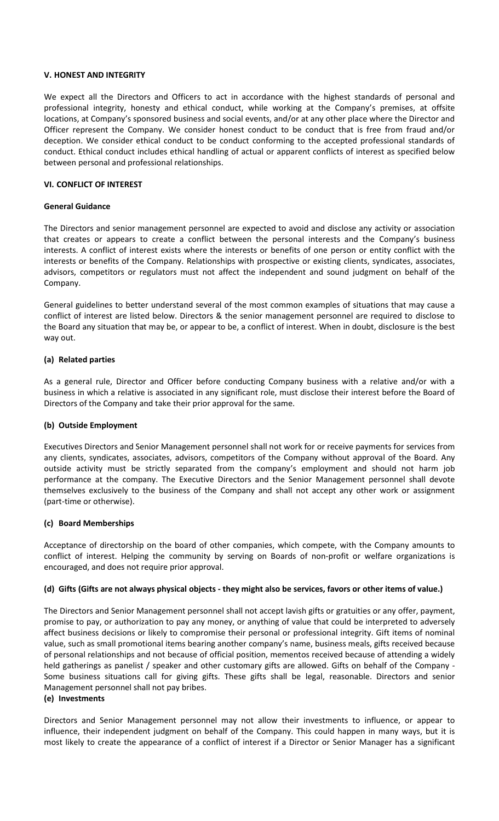#### **V. HONEST AND INTEGRITY**

We expect all the Directors and Officers to act in accordance with the highest standards of personal and professional integrity, honesty and ethical conduct, while working at the Company's premises, at offsite locations, at Company's sponsored business and social events, and/or at any other place where the Director and Officer represent the Company. We consider honest conduct to be conduct that is free from fraud and/or deception. We consider ethical conduct to be conduct conforming to the accepted professional standards of conduct. Ethical conduct includes ethical handling of actual or apparent conflicts of interest as specified below between personal and professional relationships.

# **VI. CONFLICT OF INTEREST**

# **General Guidance**

The Directors and senior management personnel are expected to avoid and disclose any activity or association that creates or appears to create a conflict between the personal interests and the Company's business interests. A conflict of interest exists where the interests or benefits of one person or entity conflict with the interests or benefits of the Company. Relationships with prospective or existing clients, syndicates, associates, advisors, competitors or regulators must not affect the independent and sound judgment on behalf of the Company.

General guidelines to better understand several of the most common examples of situations that may cause a conflict of interest are listed below. Directors & the senior management personnel are required to disclose to the Board any situation that may be, or appear to be, a conflict of interest. When in doubt, disclosure is the best way out.

# **(a) Related parties**

As a general rule, Director and Officer before conducting Company business with a relative and/or with a business in which a relative is associated in any significant role, must disclose their interest before the Board of Directors of the Company and take their prior approval for the same.

# **(b) Outside Employment**

Executives Directors and Senior Management personnel shall not work for or receive payments for services from any clients, syndicates, associates, advisors, competitors of the Company without approval of the Board. Any outside activity must be strictly separated from the company's employment and should not harm job performance at the company. The Executive Directors and the Senior Management personnel shall devote themselves exclusively to the business of the Company and shall not accept any other work or assignment (part‐time or otherwise).

# **(c) Board Memberships**

Acceptance of directorship on the board of other companies, which compete, with the Company amounts to conflict of interest. Helping the community by serving on Boards of non-profit or welfare organizations is encouraged, and does not require prior approval.

# **(d) Gifts (Gifts are not always physical objects - they might also be services, favors or other items of value.)**

The Directors and Senior Management personnel shall not accept lavish gifts or gratuities or any offer, payment, promise to pay, or authorization to pay any money, or anything of value that could be interpreted to adversely affect business decisions or likely to compromise their personal or professional integrity. Gift items of nominal value, such as small promotional items bearing another company's name, business meals, gifts received because of personal relationships and not because of official position, mementos received because of attending a widely held gatherings as panelist / speaker and other customary gifts are allowed. Gifts on behalf of the Company ‐ Some business situations call for giving gifts. These gifts shall be legal, reasonable. Directors and senior Management personnel shall not pay bribes.

# **(e) Investments**

Directors and Senior Management personnel may not allow their investments to influence, or appear to influence, their independent judgment on behalf of the Company. This could happen in many ways, but it is most likely to create the appearance of a conflict of interest if a Director or Senior Manager has a significant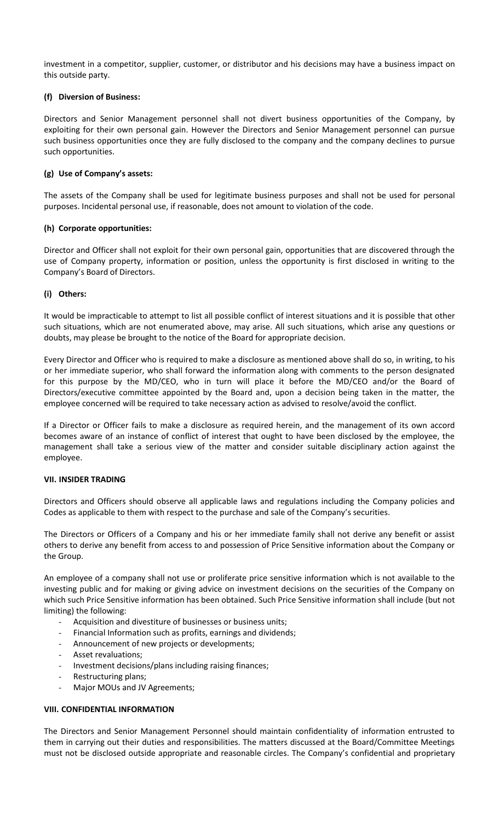investment in a competitor, supplier, customer, or distributor and his decisions may have a business impact on this outside party.

# **(f) Diversion of Business:**

Directors and Senior Management personnel shall not divert business opportunities of the Company, by exploiting for their own personal gain. However the Directors and Senior Management personnel can pursue such business opportunities once they are fully disclosed to the company and the company declines to pursue such opportunities.

# **(g) Use of Company's assets:**

The assets of the Company shall be used for legitimate business purposes and shall not be used for personal purposes. Incidental personal use, if reasonable, does not amount to violation of the code.

# **(h) Corporate opportunities:**

Director and Officer shall not exploit for their own personal gain, opportunities that are discovered through the use of Company property, information or position, unless the opportunity is first disclosed in writing to the Company's Board of Directors.

# **(i) Others:**

It would be impracticable to attempt to list all possible conflict of interest situations and it is possible that other such situations, which are not enumerated above, may arise. All such situations, which arise any questions or doubts, may please be brought to the notice of the Board for appropriate decision.

Every Director and Officer who is required to make a disclosure as mentioned above shall do so, in writing, to his or her immediate superior, who shall forward the information along with comments to the person designated for this purpose by the MD/CEO, who in turn will place it before the MD/CEO and/or the Board of Directors/executive committee appointed by the Board and, upon a decision being taken in the matter, the employee concerned will be required to take necessary action as advised to resolve/avoid the conflict.

If a Director or Officer fails to make a disclosure as required herein, and the management of its own accord becomes aware of an instance of conflict of interest that ought to have been disclosed by the employee, the management shall take a serious view of the matter and consider suitable disciplinary action against the employee.

# **VII. INSIDER TRADING**

Directors and Officers should observe all applicable laws and regulations including the Company policies and Codes as applicable to them with respect to the purchase and sale of the Company's securities.

The Directors or Officers of a Company and his or her immediate family shall not derive any benefit or assist others to derive any benefit from access to and possession of Price Sensitive information about the Company or the Group.

An employee of a company shall not use or proliferate price sensitive information which is not available to the investing public and for making or giving advice on investment decisions on the securities of the Company on which such Price Sensitive information has been obtained. Such Price Sensitive information shall include (but not limiting) the following:

- Acquisition and divestiture of businesses or business units;
- Financial Information such as profits, earnings and dividends;
- Announcement of new projects or developments;
- Asset revaluations;
- Investment decisions/plans including raising finances;
- Restructuring plans;
- Major MOUs and JV Agreements;

# **VIII. CONFIDENTIAL INFORMATION**

The Directors and Senior Management Personnel should maintain confidentiality of information entrusted to them in carrying out their duties and responsibilities. The matters discussed at the Board/Committee Meetings must not be disclosed outside appropriate and reasonable circles. The Company's confidential and proprietary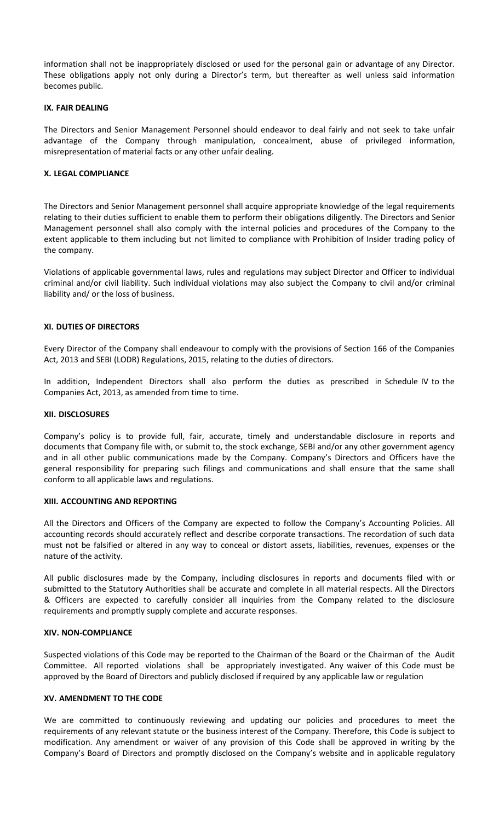information shall not be inappropriately disclosed or used for the personal gain or advantage of any Director. These obligations apply not only during a Director's term, but thereafter as well unless said information becomes public.

#### **IX. FAIR DEALING**

The Directors and Senior Management Personnel should endeavor to deal fairly and not seek to take unfair advantage of the Company through manipulation, concealment, abuse of privileged information, misrepresentation of material facts or any other unfair dealing.

#### **X. LEGAL COMPLIANCE**

The Directors and Senior Management personnel shall acquire appropriate knowledge of the legal requirements relating to their duties sufficient to enable them to perform their obligations diligently. The Directors and Senior Management personnel shall also comply with the internal policies and procedures of the Company to the extent applicable to them including but not limited to compliance with Prohibition of Insider trading policy of the company.

Violations of applicable governmental laws, rules and regulations may subject Director and Officer to individual criminal and/or civil liability. Such individual violations may also subject the Company to civil and/or criminal liability and/ or the loss of business.

# **XI. DUTIES OF DIRECTORS**

Every Director of the Company shall endeavour to comply with the provisions of Section 166 of the Companies Act, 2013 and SEBI (LODR) Regulations, 2015, relating to the duties of directors.

In addition, Independent Directors shall also perform the duties as prescribed in Schedule IV to the Companies Act, 2013, as amended from time to time.

#### **XII. DISCLOSURES**

Company's policy is to provide full, fair, accurate, timely and understandable disclosure in reports and documents that Company file with, or submit to, the stock exchange, SEBI and/or any other government agency and in all other public communications made by the Company. Company's Directors and Officers have the general responsibility for preparing such filings and communications and shall ensure that the same shall conform to all applicable laws and regulations.

#### **XIII. ACCOUNTING AND REPORTING**

All the Directors and Officers of the Company are expected to follow the Company's Accounting Policies. All accounting records should accurately reflect and describe corporate transactions. The recordation of such data must not be falsified or altered in any way to conceal or distort assets, liabilities, revenues, expenses or the nature of the activity.

All public disclosures made by the Company, including disclosures in reports and documents filed with or submitted to the Statutory Authorities shall be accurate and complete in all material respects. All the Directors & Officers are expected to carefully consider all inquiries from the Company related to the disclosure requirements and promptly supply complete and accurate responses.

#### **XIV. NON-COMPLIANCE**

Suspected violations of this Code may be reported to the Chairman of the Board or the Chairman of the Audit Committee. All reported violations shall be appropriately investigated. Any waiver of this Code must be approved by the Board of Directors and publicly disclosed if required by any applicable law or regulation

#### **XV. AMENDMENT TO THE CODE**

We are committed to continuously reviewing and updating our policies and procedures to meet the requirements of any relevant statute or the business interest of the Company. Therefore, this Code is subject to modification. Any amendment or waiver of any provision of this Code shall be approved in writing by the Company's Board of Directors and promptly disclosed on the Company's website and in applicable regulatory